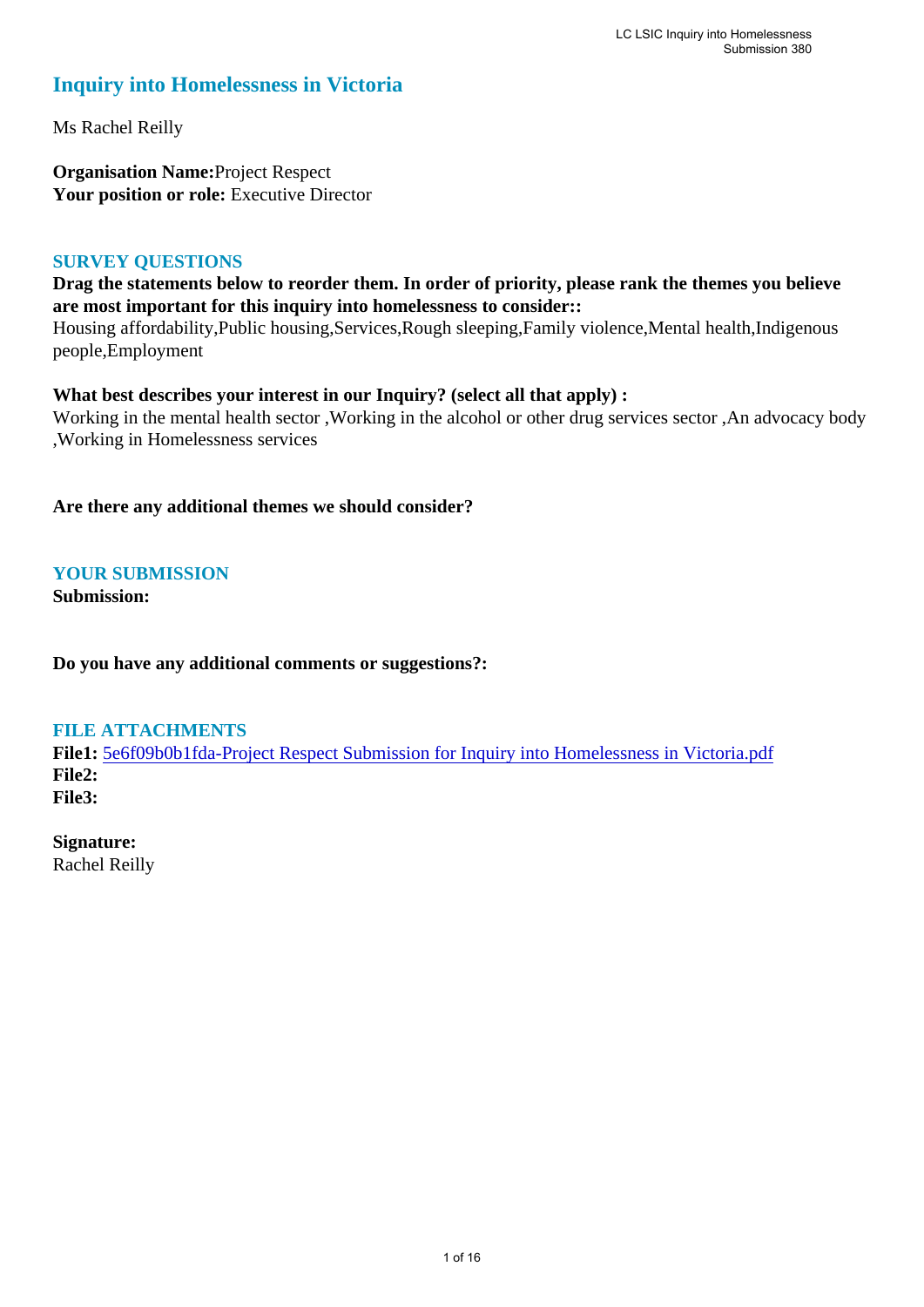### **Inquiry into Homelessness in Victoria**

Ms Rachel Reilly

**Organisation Name:**Project Respect Your position or role: Executive Director

#### **SURVEY QUESTIONS**

### **Drag the statements below to reorder them. In order of priority, please rank the themes you believe are most important for this inquiry into homelessness to consider::**

Housing affordability,Public housing,Services,Rough sleeping,Family violence,Mental health,Indigenous people,Employment

### **What best describes your interest in our Inquiry? (select all that apply) :**

Working in the mental health sector ,Working in the alcohol or other drug services sector ,An advocacy body ,Working in Homelessness services

**Are there any additional themes we should consider?**

### **YOUR SUBMISSION**

**Submission:** 

**Do you have any additional comments or suggestions?:** 

### **FILE ATTACHMENTS**

**File1:** [5e6f09b0b1fda-Project Respect Submission for Inquiry into Homelessness in Victoria.pdf](https://www.parliament.vic.gov.au/component/rsform/submission-view-file/41c5f39f78c7316b529e0284d74e820d/83a17f0a7b1691ded18ccddaa3ac0278?Itemid=463) **File2: File3:** 

# **Signature:**

Rachel Reilly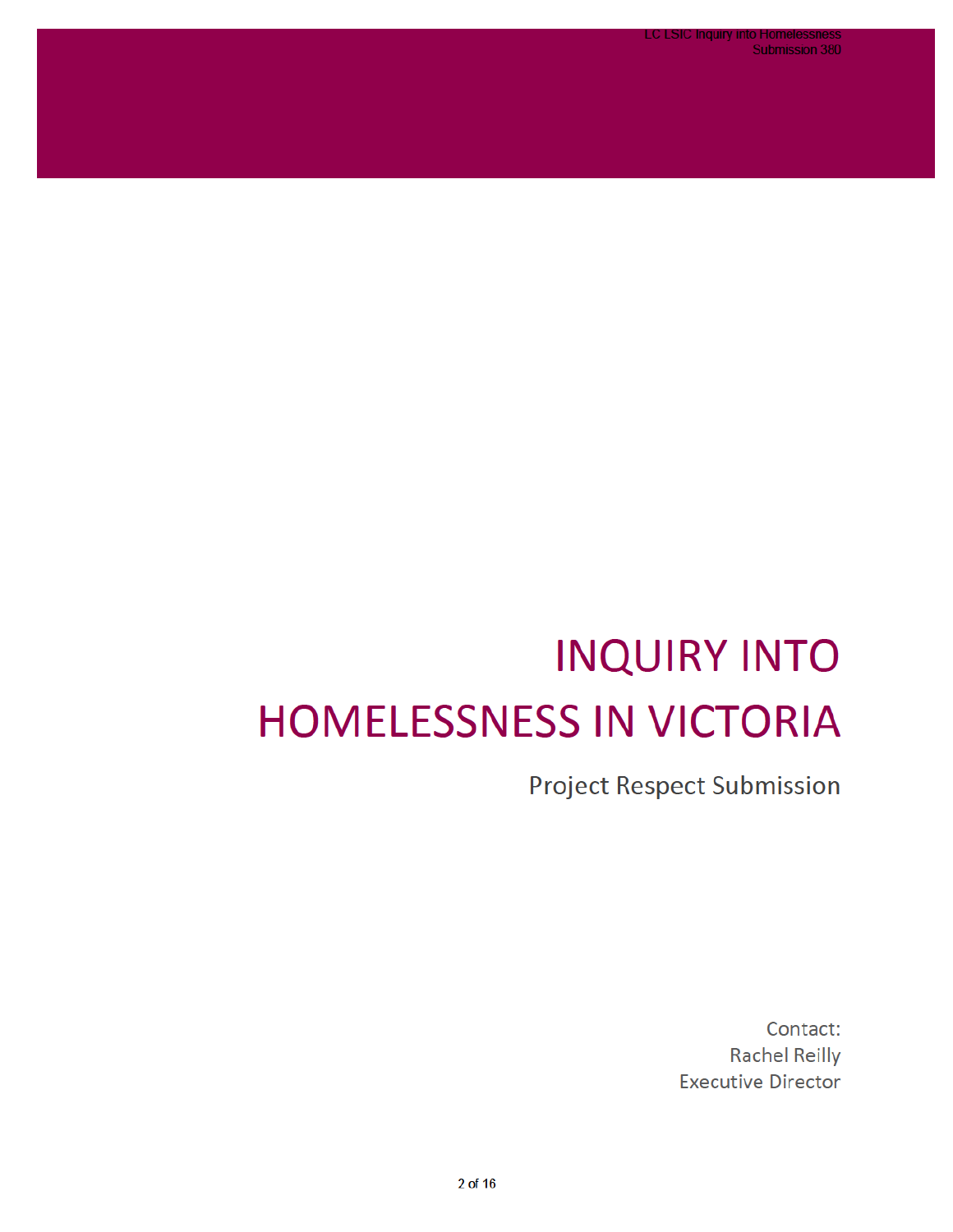.C LSIC Inquiry in **Submission 380** 

# **INQUIRY INTO HOMELESSNESS IN VICTORIA**

**Project Respect Submission** 

Contact: **Rachel Reilly Executive Director**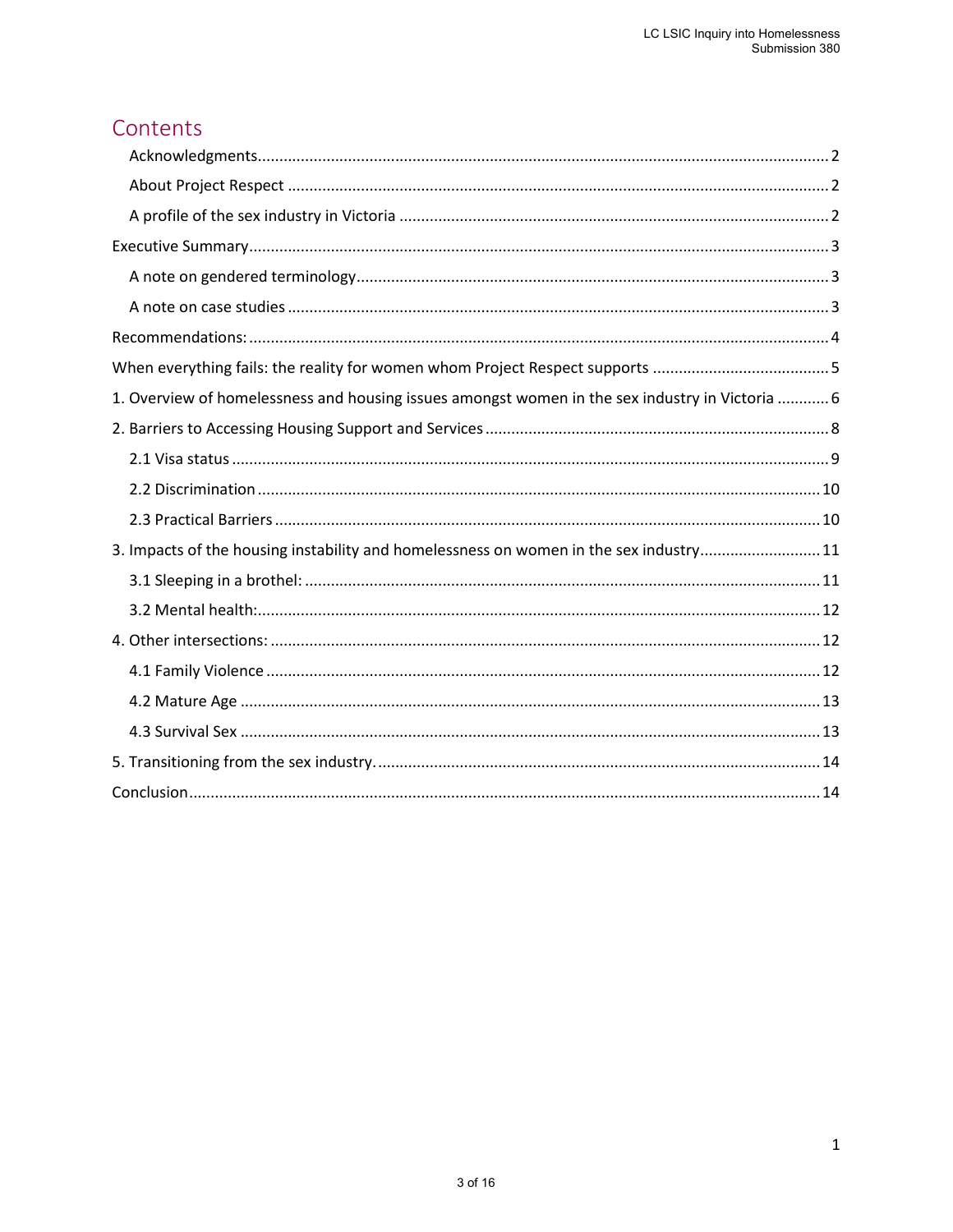# Contents

| 1. Overview of homelessness and housing issues amongst women in the sex industry in Victoria  6 |
|-------------------------------------------------------------------------------------------------|
|                                                                                                 |
|                                                                                                 |
|                                                                                                 |
|                                                                                                 |
| 3. Impacts of the housing instability and homelessness on women in the sex industry11           |
|                                                                                                 |
|                                                                                                 |
|                                                                                                 |
|                                                                                                 |
|                                                                                                 |
|                                                                                                 |
|                                                                                                 |
|                                                                                                 |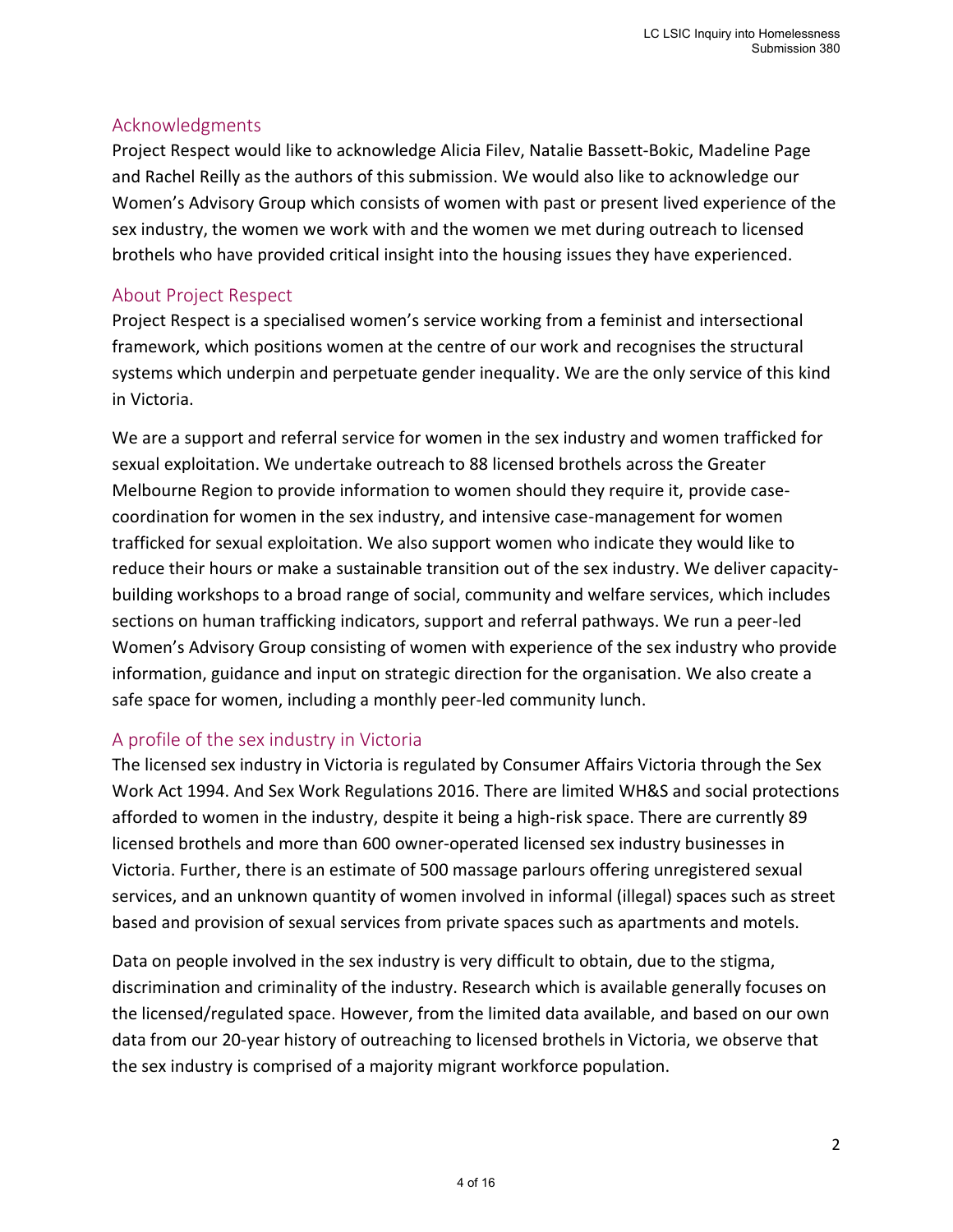### <span id="page-3-0"></span>Acknowledgments

Project Respect would like to acknowledge Alicia Filev, Natalie Bassett-Bokic, Madeline Page and Rachel Reilly as the authors of this submission. We would also like to acknowledge our Women's Advisory Group which consists of women with past or present lived experience of the sex industry, the women we work with and the women we met during outreach to licensed brothels who have provided critical insight into the housing issues they have experienced.

### <span id="page-3-1"></span>About Project Respect

Project Respect is a specialised women's service working from a feminist and intersectional framework, which positions women at the centre of our work and recognises the structural systems which underpin and perpetuate gender inequality. We are the only service of this kind in Victoria.

We are a support and referral service for women in the sex industry and women trafficked for sexual exploitation. We undertake outreach to 88 licensed brothels across the Greater Melbourne Region to provide information to women should they require it, provide casecoordination for women in the sex industry, and intensive case-management for women trafficked for sexual exploitation. We also support women who indicate they would like to reduce their hours or make a sustainable transition out of the sex industry. We deliver capacitybuilding workshops to a broad range of social, community and welfare services, which includes sections on human trafficking indicators, support and referral pathways. We run a peer-led Women's Advisory Group consisting of women with experience of the sex industry who provide information, guidance and input on strategic direction for the organisation. We also create a safe space for women, including a monthly peer-led community lunch.

### <span id="page-3-2"></span>A profile of the sex industry in Victoria

The licensed sex industry in Victoria is regulated by Consumer Affairs Victoria through the Sex Work Act 1994. And Sex Work Regulations 2016. There are limited WH&S and social protections afforded to women in the industry, despite it being a high-risk space. There are currently 89 licensed brothels and more than 600 owner-operated licensed sex industry businesses in Victoria. Further, there is an estimate of 500 massage parlours offering unregistered sexual services, and an unknown quantity of women involved in informal (illegal) spaces such as street based and provision of sexual services from private spaces such as apartments and motels.

Data on people involved in the sex industry is very difficult to obtain, due to the stigma, discrimination and criminality of the industry. Research which is available generally focuses on the licensed/regulated space. However, from the limited data available, and based on our own data from our 20-year history of outreaching to licensed brothels in Victoria, we observe that the sex industry is comprised of a majority migrant workforce population.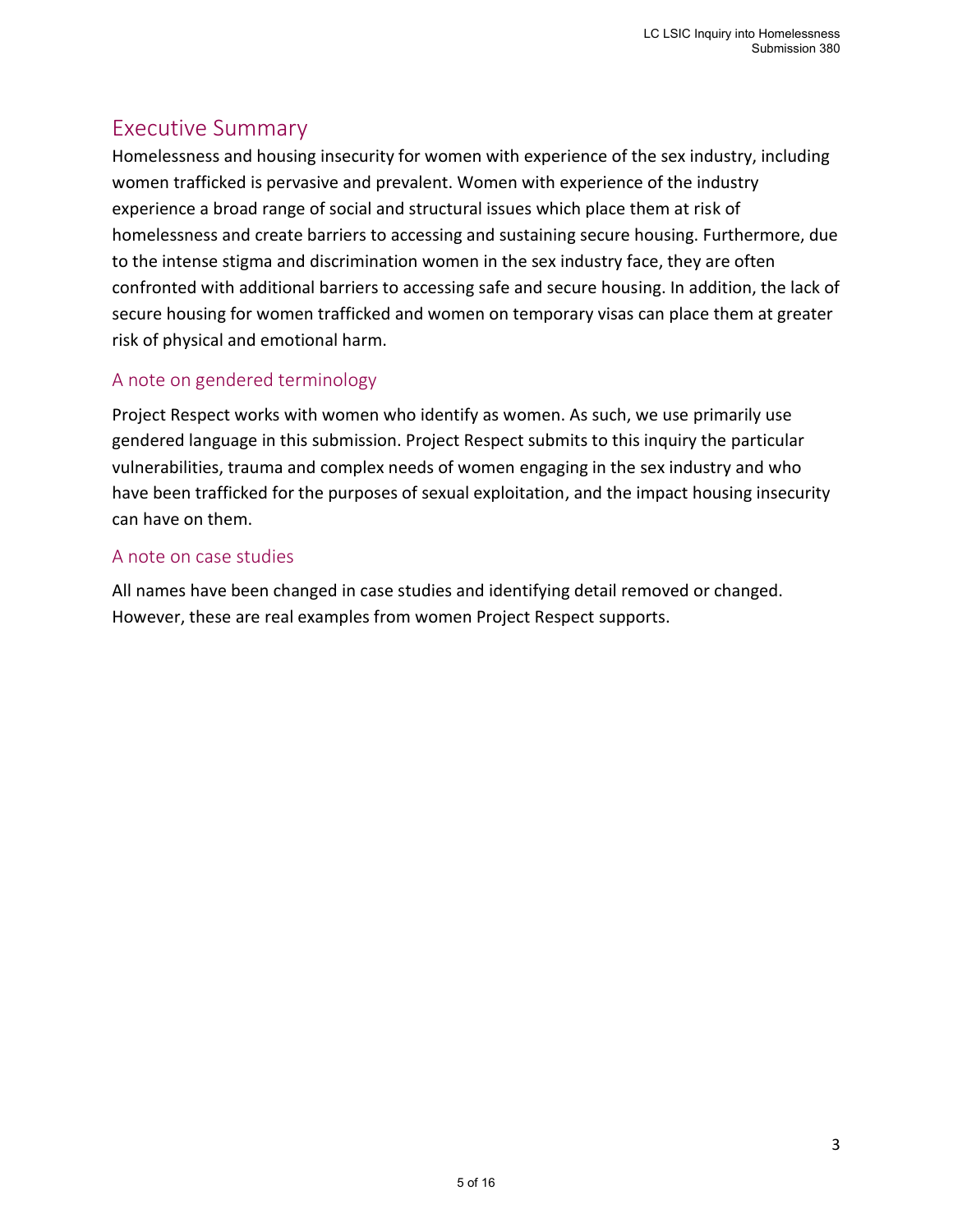# <span id="page-4-0"></span>Executive Summary

Homelessness and housing insecurity for women with experience of the sex industry, including women trafficked is pervasive and prevalent. Women with experience of the industry experience a broad range of social and structural issues which place them at risk of homelessness and create barriers to accessing and sustaining secure housing. Furthermore, due to the intense stigma and discrimination women in the sex industry face, they are often confronted with additional barriers to accessing safe and secure housing. In addition, the lack of secure housing for women trafficked and women on temporary visas can place them at greater risk of physical and emotional harm.

### <span id="page-4-1"></span>A note on gendered terminology

Project Respect works with women who identify as women. As such, we use primarily use gendered language in this submission. Project Respect submits to this inquiry the particular vulnerabilities, trauma and complex needs of women engaging in the sex industry and who have been trafficked for the purposes of sexual exploitation, and the impact housing insecurity can have on them.

### <span id="page-4-2"></span>A note on case studies

All names have been changed in case studies and identifying detail removed or changed. However, these are real examples from women Project Respect supports.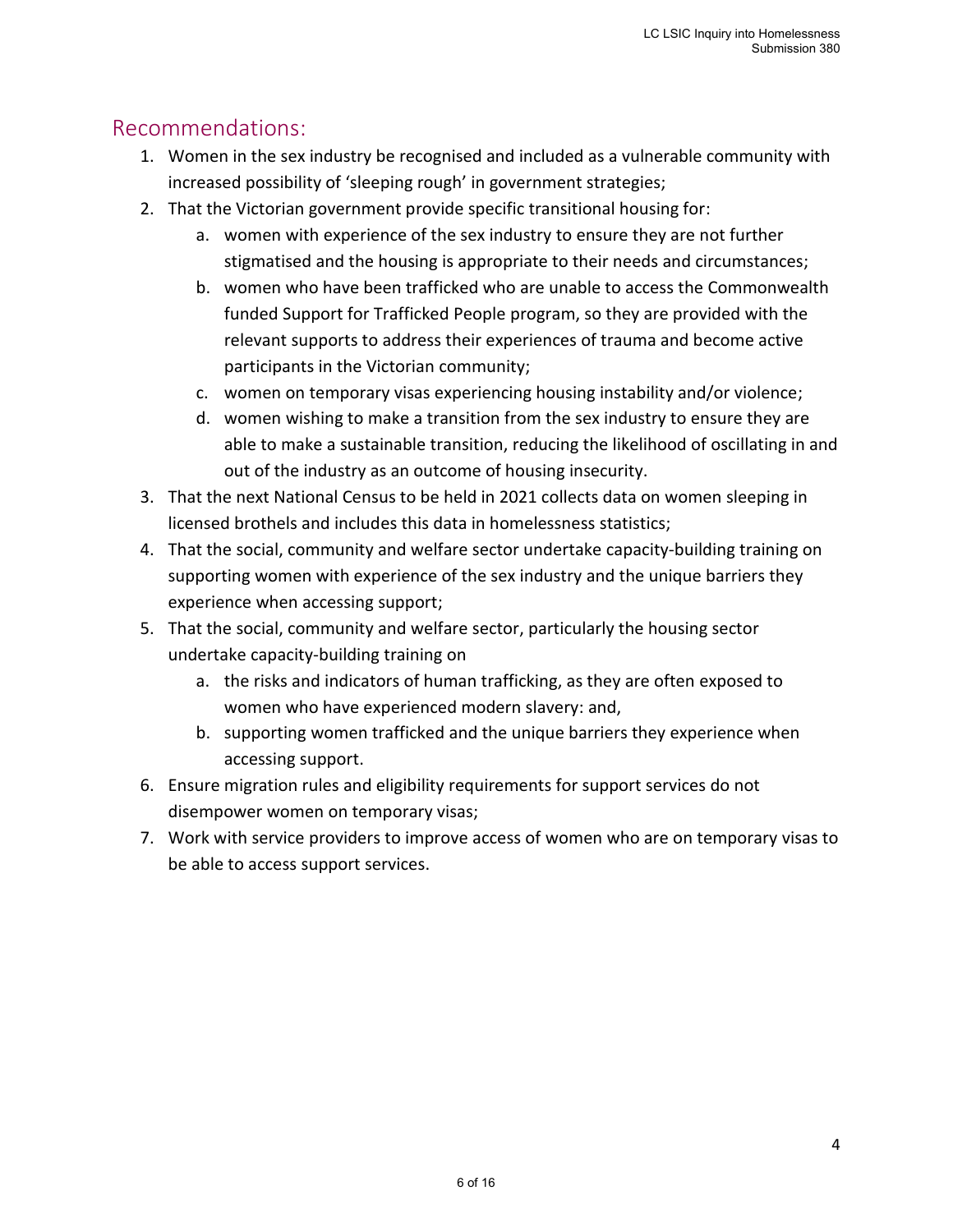# <span id="page-5-0"></span>Recommendations:

- 1. Women in the sex industry be recognised and included as a vulnerable community with increased possibility of 'sleeping rough' in government strategies;
- 2. That the Victorian government provide specific transitional housing for:
	- a. women with experience of the sex industry to ensure they are not further stigmatised and the housing is appropriate to their needs and circumstances;
	- b. women who have been trafficked who are unable to access the Commonwealth funded Support for Trafficked People program, so they are provided with the relevant supports to address their experiences of trauma and become active participants in the Victorian community;
	- c. women on temporary visas experiencing housing instability and/or violence;
	- d. women wishing to make a transition from the sex industry to ensure they are able to make a sustainable transition, reducing the likelihood of oscillating in and out of the industry as an outcome of housing insecurity.
- 3. That the next National Census to be held in 2021 collects data on women sleeping in licensed brothels and includes this data in homelessness statistics;
- 4. That the social, community and welfare sector undertake capacity-building training on supporting women with experience of the sex industry and the unique barriers they experience when accessing support;
- 5. That the social, community and welfare sector, particularly the housing sector undertake capacity-building training on
	- a. the risks and indicators of human trafficking, as they are often exposed to women who have experienced modern slavery: and,
	- b. supporting women trafficked and the unique barriers they experience when accessing support.
- 6. Ensure migration rules and eligibility requirements for support services do not disempower women on temporary visas;
- 7. Work with service providers to improve access of women who are on temporary visas to be able to access support services.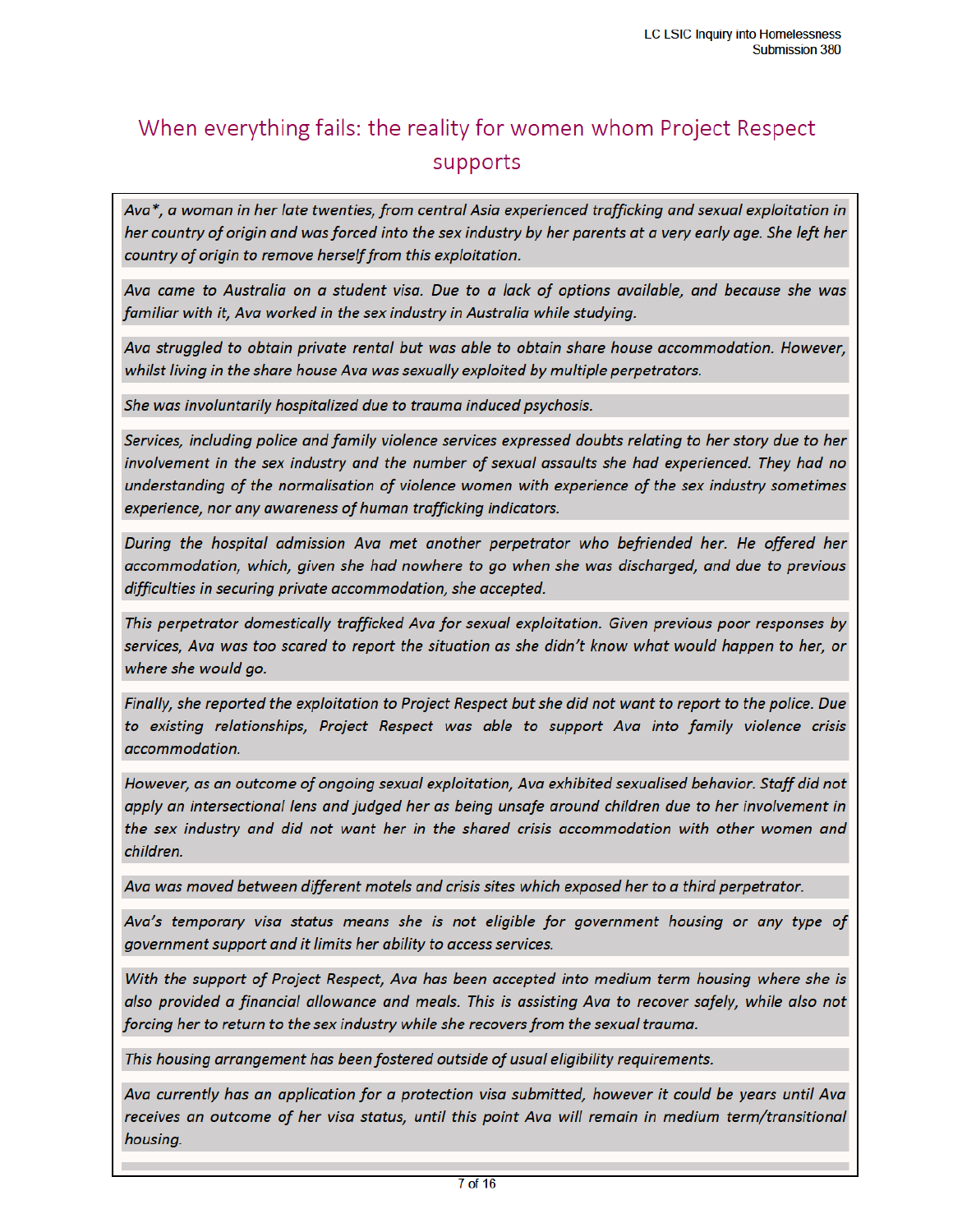# When everything fails: the reality for women whom Project Respect supports

Ava\*, a woman in her late twenties, from central Asia experienced trafficking and sexual exploitation in her country of origin and was forced into the sex industry by her parents at a very early age. She left her country of origin to remove herself from this exploitation.

Ava came to Australia on a student visa. Due to a lack of options available, and because she was familiar with it, Ava worked in the sex industry in Australia while studying.

Ava struggled to obtain private rental but was able to obtain share house accommodation. However, whilst living in the share house Ava was sexually exploited by multiple perpetrators.

She was involuntarily hospitalized due to trauma induced psychosis.

Services, including police and family violence services expressed doubts relating to her story due to her involvement in the sex industry and the number of sexual assaults she had experienced. They had no understanding of the normalisation of violence women with experience of the sex industry sometimes experience, nor any awareness of human trafficking indicators.

During the hospital admission Ava met another perpetrator who befriended her. He offered her accommodation, which, given she had nowhere to go when she was discharged, and due to previous difficulties in securing private accommodation, she accepted.

This perpetrator domestically trafficked Ava for sexual exploitation. Given previous poor responses by services, Ava was too scared to report the situation as she didn't know what would happen to her, or where she would go.

Finally, she reported the exploitation to Project Respect but she did not want to report to the police. Due to existing relationships, Project Respect was able to support Ava into family violence crisis accommodation.

However, as an outcome of ongoing sexual exploitation, Ava exhibited sexualised behavior. Staff did not apply an intersectional lens and judged her as being unsafe around children due to her involvement in the sex industry and did not want her in the shared crisis accommodation with other women and children.

Ava was moved between different motels and crisis sites which exposed her to a third perpetrator.

Ava's temporary visa status means she is not eligible for government housing or any type of government support and it limits her ability to access services.

With the support of Project Respect, Ava has been accepted into medium term housing where she is also provided a financial allowance and meals. This is assisting Ava to recover safely, while also not forcing her to return to the sex industry while she recovers from the sexual trauma.

This housing arrangement has been fostered outside of usual eligibility requirements.

Ava currently has an application for a protection visa submitted, however it could be years until Ava receives an outcome of her visa status, until this point Ava will remain in medium term/transitional housing.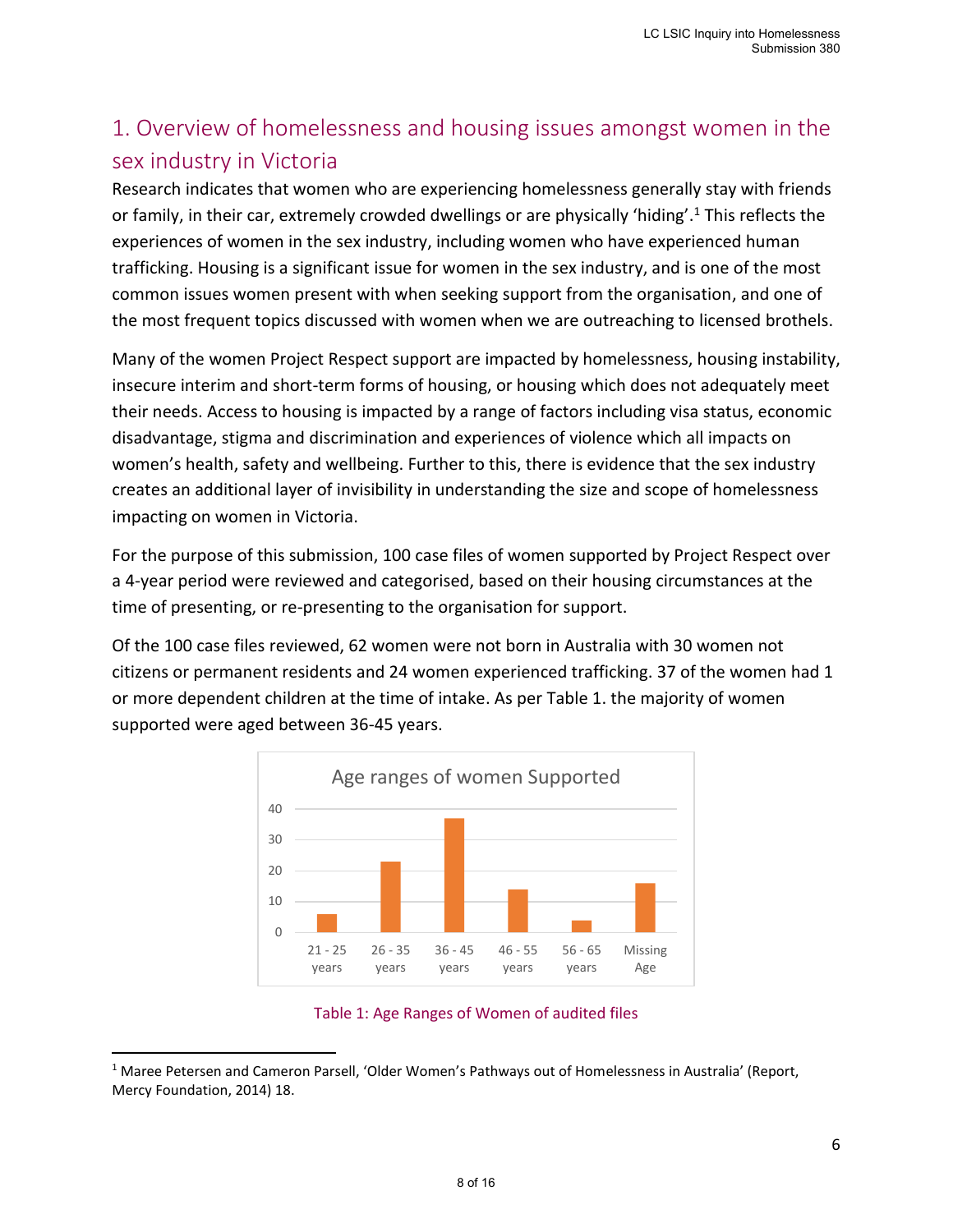# <span id="page-7-0"></span>1. Overview of homelessness and housing issues amongst women in the sex industry in Victoria

Research indicates that women who are experiencing homelessness generally stay with friends or family, in their car, extremely crowded dwellings or are physically 'hiding'. <sup>1</sup> This reflects the experiences of women in the sex industry, including women who have experienced human trafficking. Housing is a significant issue for women in the sex industry, and is one of the most common issues women present with when seeking support from the organisation, and one of the most frequent topics discussed with women when we are outreaching to licensed brothels.

Many of the women Project Respect support are impacted by homelessness, housing instability, insecure interim and short-term forms of housing, or housing which does not adequately meet their needs. Access to housing is impacted by a range of factors including visa status, economic disadvantage, stigma and discrimination and experiences of violence which all impacts on women's health, safety and wellbeing. Further to this, there is evidence that the sex industry creates an additional layer of invisibility in understanding the size and scope of homelessness impacting on women in Victoria.

For the purpose of this submission, 100 case files of women supported by Project Respect over a 4-year period were reviewed and categorised, based on their housing circumstances at the time of presenting, or re-presenting to the organisation for support.

Of the 100 case files reviewed, 62 women were not born in Australia with 30 women not citizens or permanent residents and 24 women experienced trafficking. 37 of the women had 1 or more dependent children at the time of intake. As per Table 1. the majority of women supported were aged between 36-45 years.





<sup>&</sup>lt;sup>1</sup> Maree Petersen and Cameron Parsell, 'Older Women's Pathways out of Homelessness in Australia' (Report, Mercy Foundation, 2014) 18.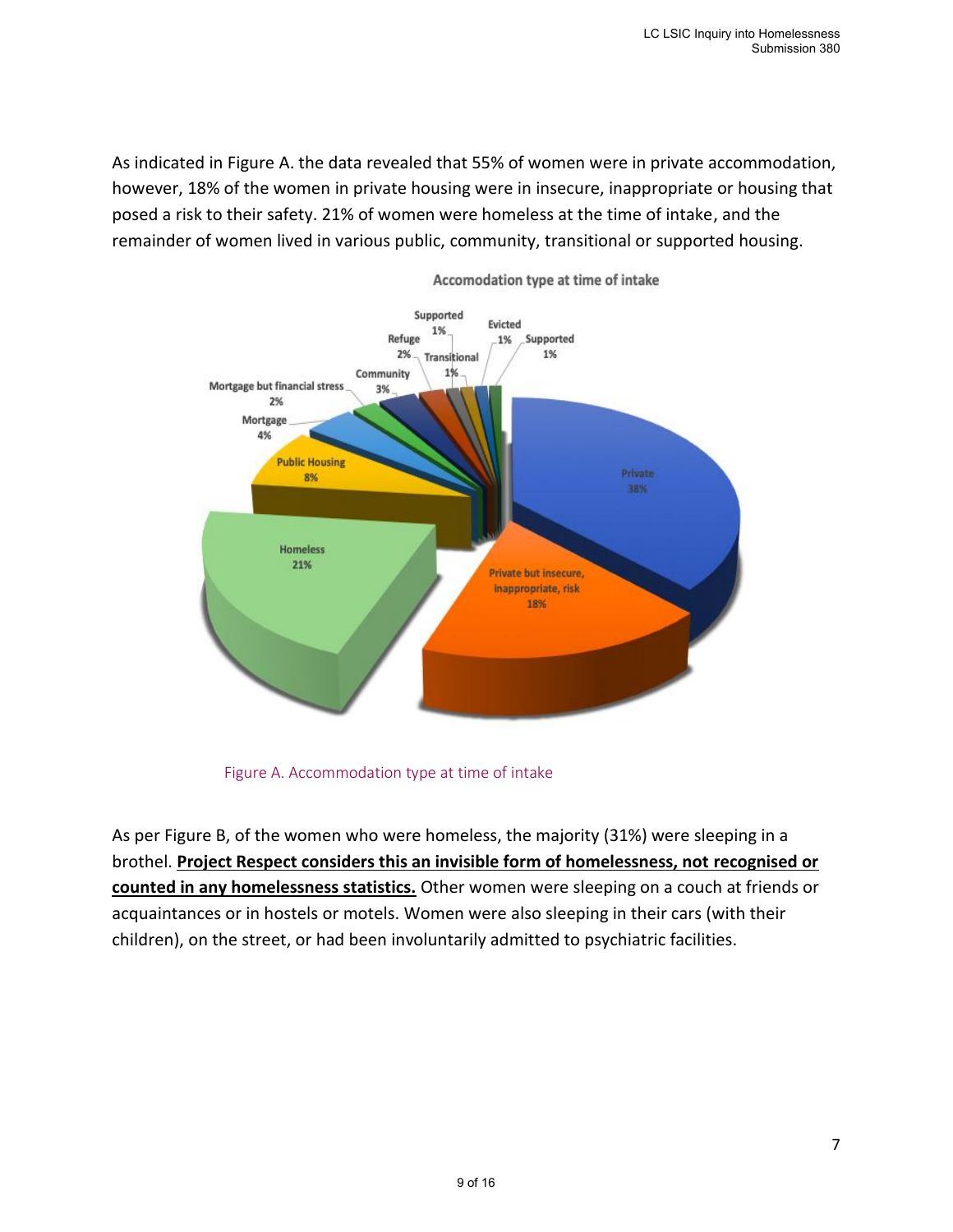As indicated in Figure A. the data revealed that 55% of women were in private accommodation, however, 18% of the women in private housing were in insecure, inappropriate or housing that posed a risk to their safety. 21% of women were homeless at the time of intake, and the remainder of women lived in various public, community, transitional or supported housing.



Accomodation type at time of intake

Figure A. Accommodation type at time of intake

As per Figure B, of the women who were homeless, the majority (31%) were sleeping in a brothel. **Project Respect considers this an invisible form of homelessness, not recognised or counted in any homelessness statistics.** Other women were sleeping on a couch at friends or acquaintances or in hostels or motels. Women were also sleeping in their cars (with their children), on the street, or had been involuntarily admitted to psychiatric facilities.

7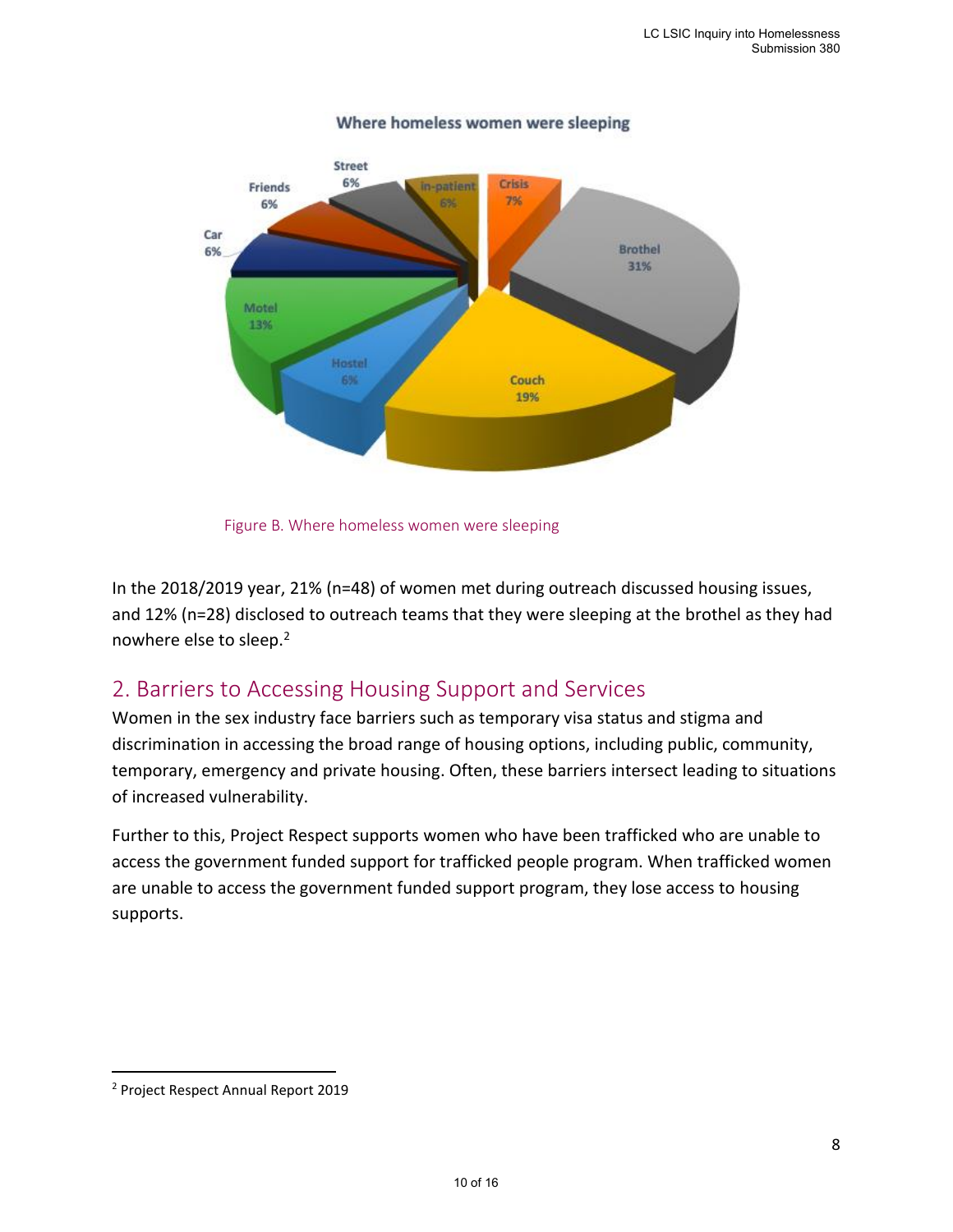

#### Where homeless women were sleeping



In the 2018/2019 year, 21% (n=48) of women met during outreach discussed housing issues, and 12% (n=28) disclosed to outreach teams that they were sleeping at the brothel as they had nowhere else to sleep.<sup>2</sup>

### <span id="page-9-0"></span>2. Barriers to Accessing Housing Support and Services

Women in the sex industry face barriers such as temporary visa status and stigma and discrimination in accessing the broad range of housing options, including public, community, temporary, emergency and private housing. Often, these barriers intersect leading to situations of increased vulnerability.

Further to this, Project Respect supports women who have been trafficked who are unable to access the government funded support for trafficked people program. When trafficked women are unable to access the government funded support program, they lose access to housing supports.

<sup>2</sup> Project Respect Annual Report 2019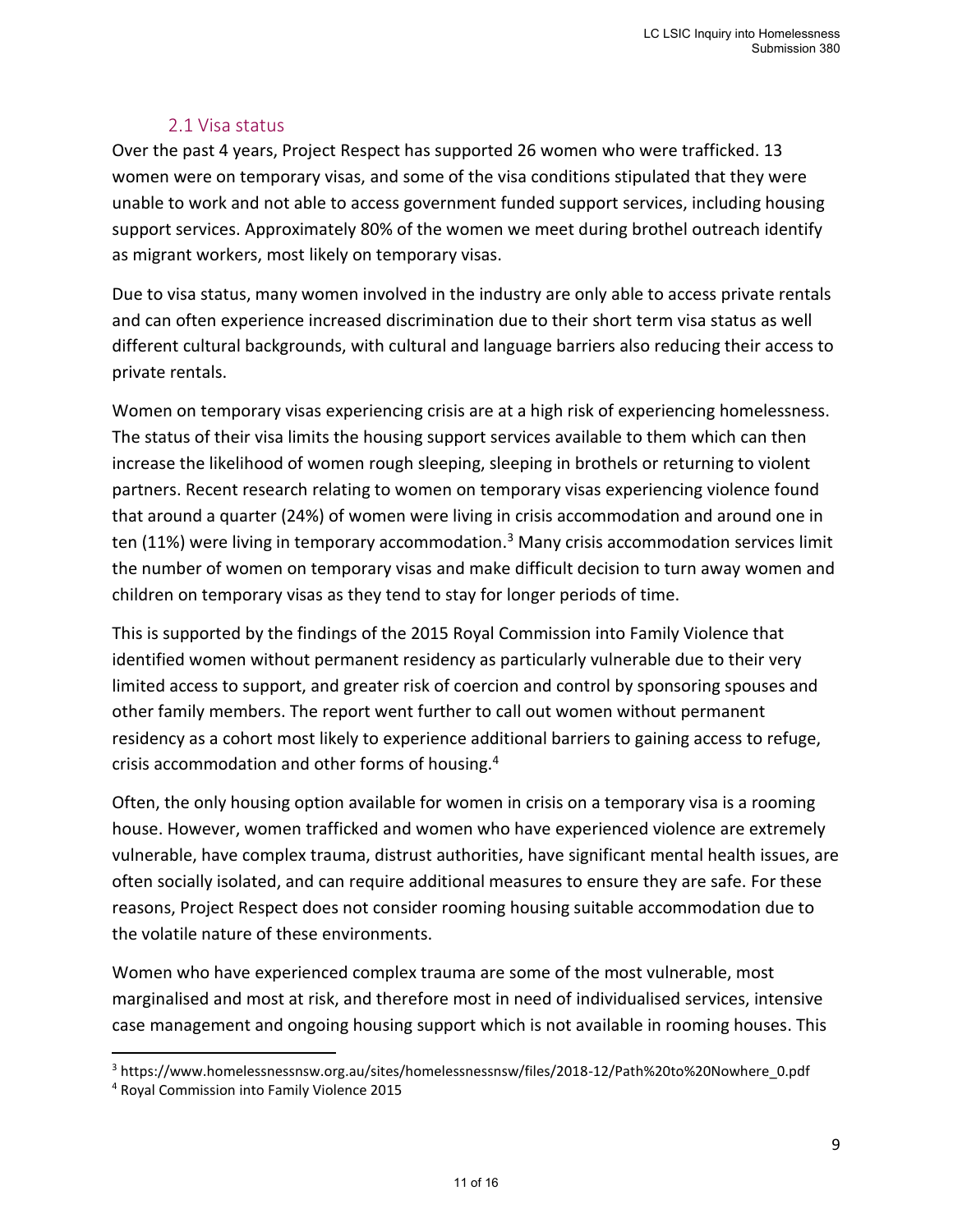### <span id="page-10-0"></span>2.1 Visa status

Over the past 4 years, Project Respect has supported 26 women who were trafficked. 13 women were on temporary visas, and some of the visa conditions stipulated that they were unable to work and not able to access government funded support services, including housing support services. Approximately 80% of the women we meet during brothel outreach identify as migrant workers, most likely on temporary visas.

Due to visa status, many women involved in the industry are only able to access private rentals and can often experience increased discrimination due to their short term visa status as well different cultural backgrounds, with cultural and language barriers also reducing their access to private rentals.

Women on temporary visas experiencing crisis are at a high risk of experiencing homelessness. The status of their visa limits the housing support services available to them which can then increase the likelihood of women rough sleeping, sleeping in brothels or returning to violent partners. Recent research relating to women on temporary visas experiencing violence found that around a quarter (24%) of women were living in crisis accommodation and around one in ten (11%) were living in temporary accommodation.<sup>3</sup> Many crisis accommodation services limit the number of women on temporary visas and make difficult decision to turn away women and children on temporary visas as they tend to stay for longer periods of time.

This is supported by the findings of the 2015 Royal Commission into Family Violence that identified women without permanent residency as particularly vulnerable due to their very limited access to support, and greater risk of coercion and control by sponsoring spouses and other family members. The report went further to call out women without permanent residency as a cohort most likely to experience additional barriers to gaining access to refuge, crisis accommodation and other forms of housing.<sup>4</sup>

Often, the only housing option available for women in crisis on a temporary visa is a rooming house. However, women trafficked and women who have experienced violence are extremely vulnerable, have complex trauma, distrust authorities, have significant mental health issues, are often socially isolated, and can require additional measures to ensure they are safe. For these reasons, Project Respect does not consider rooming housing suitable accommodation due to the volatile nature of these environments.

Women who have experienced complex trauma are some of the most vulnerable, most marginalised and most at risk, and therefore most in need of individualised services, intensive case management and ongoing housing support which is not available in rooming houses. This

<sup>3</sup> https://www.homelessnessnsw.org.au/sites/homelessnessnsw/files/2018-12/Path%20to%20Nowhere\_0.pdf

<sup>4</sup> Royal Commission into Family Violence 2015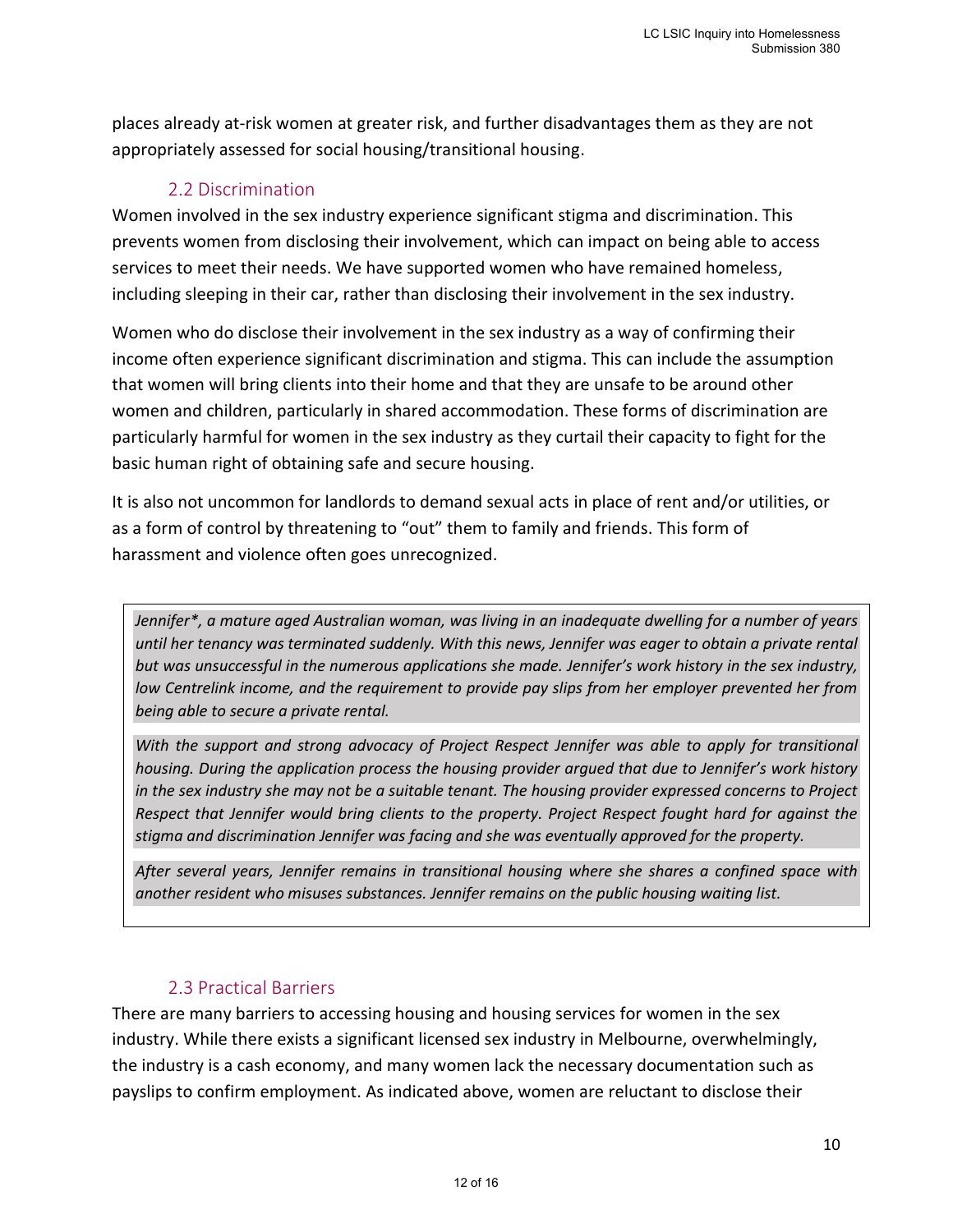places already at-risk women at greater risk, and further disadvantages them as they are not appropriately assessed for social housing/transitional housing.

### <span id="page-11-0"></span>2.2 Discrimination

Women involved in the sex industry experience significant stigma and discrimination. This prevents women from disclosing their involvement, which can impact on being able to access services to meet their needs. We have supported women who have remained homeless, including sleeping in their car, rather than disclosing their involvement in the sex industry.

Women who do disclose their involvement in the sex industry as a way of confirming their income often experience significant discrimination and stigma. This can include the assumption that women will bring clients into their home and that they are unsafe to be around other women and children, particularly in shared accommodation. These forms of discrimination are particularly harmful for women in the sex industry as they curtail their capacity to fight for the basic human right of obtaining safe and secure housing.

It is also not uncommon for landlords to demand sexual acts in place of rent and/or utilities, or as a form of control by threatening to "out" them to family and friends. This form of harassment and violence often goes unrecognized.

*Jennifer\*, a mature aged Australian woman, was living in an inadequate dwelling for a number of years until her tenancy was terminated suddenly. With this news, Jennifer was eager to obtain a private rental but was unsuccessful in the numerous applications she made. Jennifer's work history in the sex industry, low Centrelink income, and the requirement to provide pay slips from her employer prevented her from being able to secure a private rental.*

*With the support and strong advocacy of Project Respect Jennifer was able to apply for transitional housing. During the application process the housing provider argued that due to Jennifer's work history in the sex industry she may not be a suitable tenant. The housing provider expressed concerns to Project Respect that Jennifer would bring clients to the property. Project Respect fought hard for against the stigma and discrimination Jennifer was facing and she was eventually approved for the property.* 

*After several years, Jennifer remains in transitional housing where she shares a confined space with another resident who misuses substances. Jennifer remains on the public housing waiting list.* 

### <span id="page-11-1"></span>2.3 Practical Barriers

There are many barriers to accessing housing and housing services for women in the sex industry. While there exists a significant licensed sex industry in Melbourne, overwhelmingly, the industry is a cash economy, and many women lack the necessary documentation such as payslips to confirm employment. As indicated above, women are reluctant to disclose their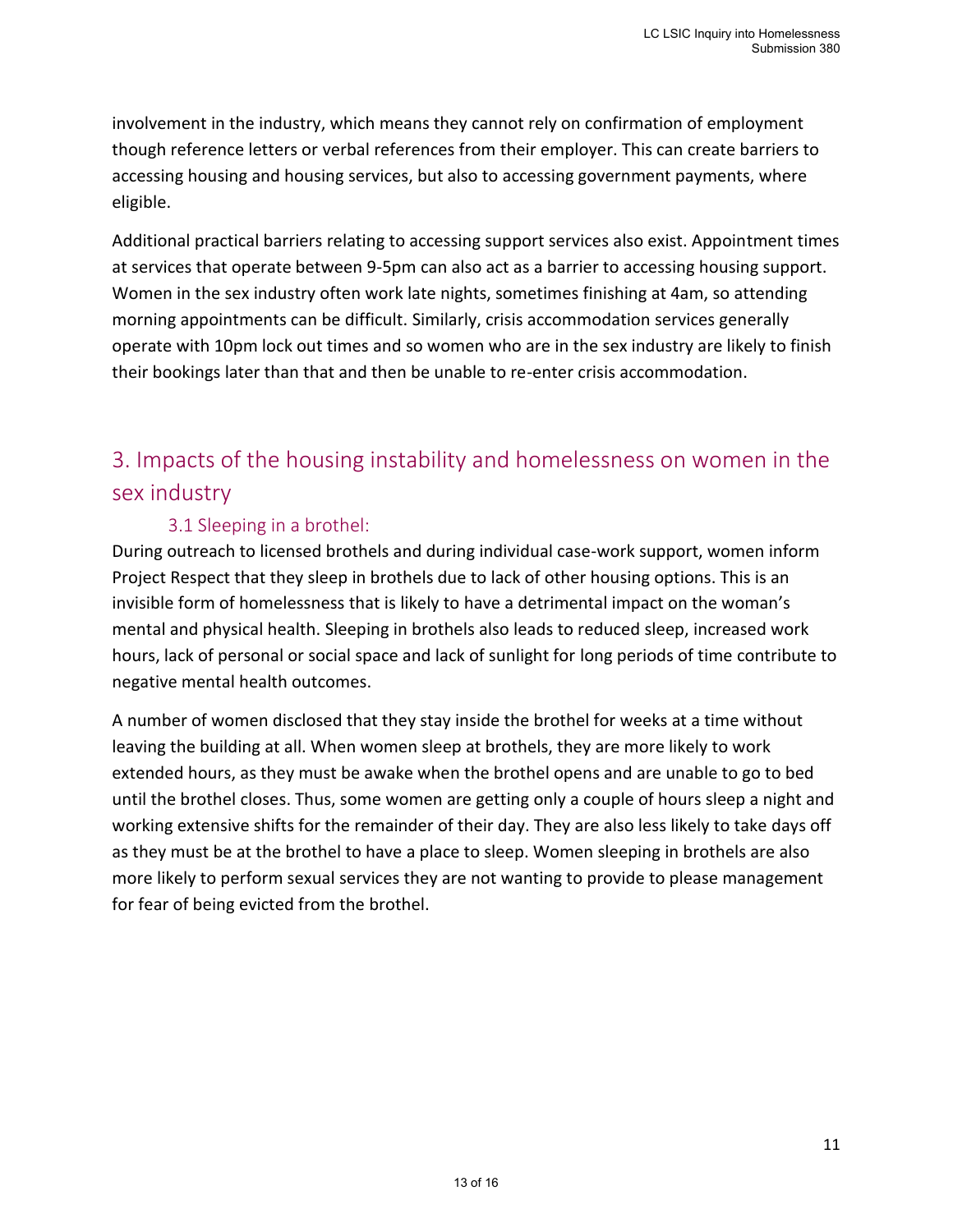involvement in the industry, which means they cannot rely on confirmation of employment though reference letters or verbal references from their employer. This can create barriers to accessing housing and housing services, but also to accessing government payments, where eligible.

Additional practical barriers relating to accessing support services also exist. Appointment times at services that operate between 9-5pm can also act as a barrier to accessing housing support. Women in the sex industry often work late nights, sometimes finishing at 4am, so attending morning appointments can be difficult. Similarly, crisis accommodation services generally operate with 10pm lock out times and so women who are in the sex industry are likely to finish their bookings later than that and then be unable to re-enter crisis accommodation.

# <span id="page-12-0"></span>3. Impacts of the housing instability and homelessness on women in the sex industry

### <span id="page-12-1"></span>3.1 Sleeping in a brothel:

During outreach to licensed brothels and during individual case-work support, women inform Project Respect that they sleep in brothels due to lack of other housing options. This is an invisible form of homelessness that is likely to have a detrimental impact on the woman's mental and physical health. Sleeping in brothels also leads to reduced sleep, increased work hours, lack of personal or social space and lack of sunlight for long periods of time contribute to negative mental health outcomes.

A number of women disclosed that they stay inside the brothel for weeks at a time without leaving the building at all. When women sleep at brothels, they are more likely to work extended hours, as they must be awake when the brothel opens and are unable to go to bed until the brothel closes. Thus, some women are getting only a couple of hours sleep a night and working extensive shifts for the remainder of their day. They are also less likely to take days off as they must be at the brothel to have a place to sleep. Women sleeping in brothels are also more likely to perform sexual services they are not wanting to provide to please management for fear of being evicted from the brothel.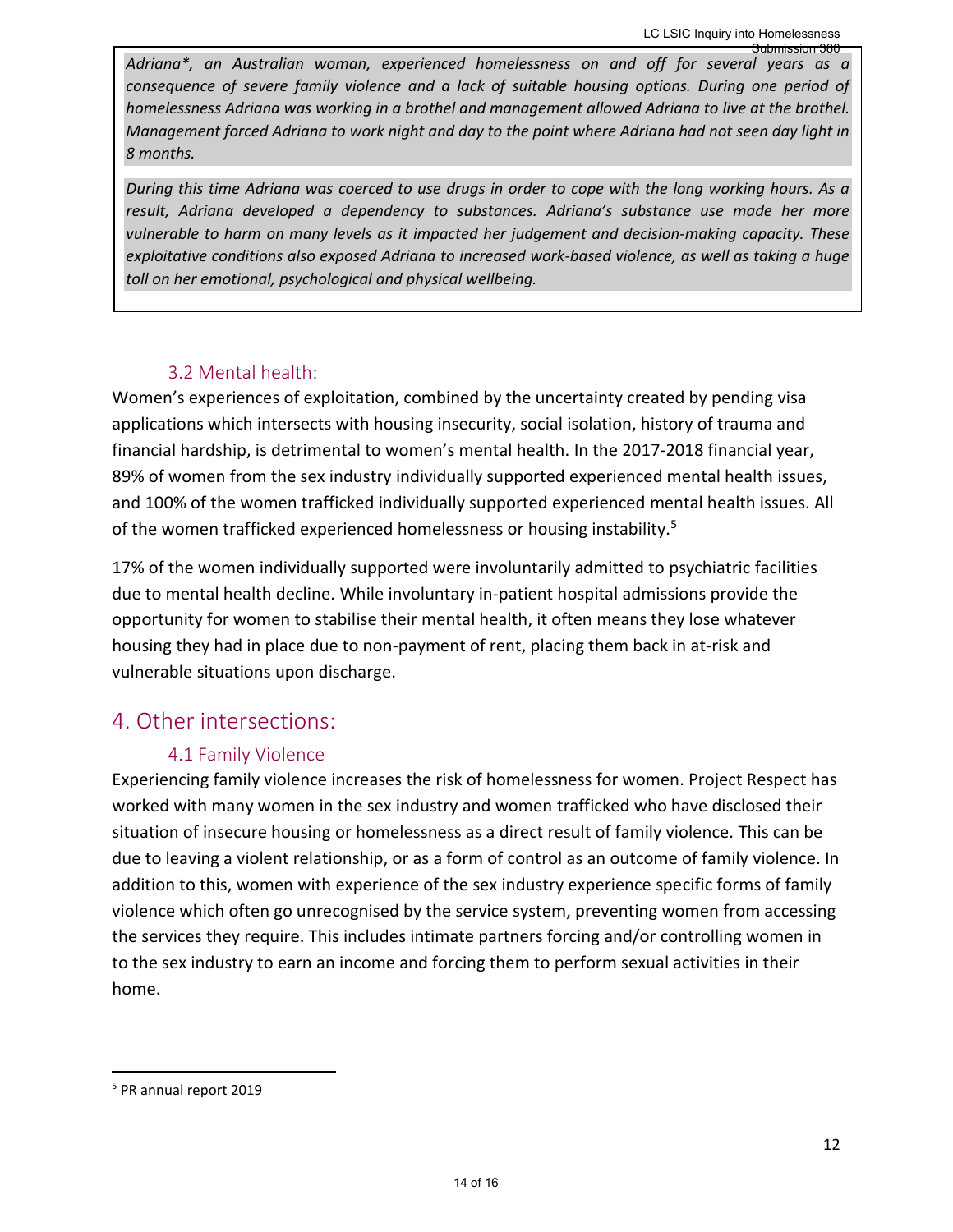*Adriana\*, an Australian woman, experienced homelessness on and off for several years as a consequence of severe family violence and a lack of suitable housing options. During one period of homelessness Adriana was working in a brothel and management allowed Adriana to live at the brothel. Management forced Adriana to work night and day to the point where Adriana had not seen day light in 8 months.*  Submission 380

*During this time Adriana was coerced to use drugs in order to cope with the long working hours. As a result, Adriana developed a dependency to substances. Adriana's substance use made her more vulnerable to harm on many levels as it impacted her judgement and decision-making capacity. These exploitative conditions also exposed Adriana to increased work-based violence, as well as taking a huge toll on her emotional, psychological and physical wellbeing.* 

### <span id="page-13-0"></span>3.2 Mental health:

Women's experiences of exploitation, combined by the uncertainty created by pending visa applications which intersects with housing insecurity, social isolation, history of trauma and financial hardship, is detrimental to women's mental health. In the 2017-2018 financial year, 89% of women from the sex industry individually supported experienced mental health issues, and 100% of the women trafficked individually supported experienced mental health issues. All of the women trafficked experienced homelessness or housing instability.<sup>5</sup>

17% of the women individually supported were involuntarily admitted to psychiatric facilities due to mental health decline. While involuntary in-patient hospital admissions provide the opportunity for women to stabilise their mental health, it often means they lose whatever housing they had in place due to non-payment of rent, placing them back in at-risk and vulnerable situations upon discharge.

# <span id="page-13-1"></span>4. Other intersections:

### <span id="page-13-2"></span>4.1 Family Violence

Experiencing family violence increases the risk of homelessness for women. Project Respect has worked with many women in the sex industry and women trafficked who have disclosed their situation of insecure housing or homelessness as a direct result of family violence. This can be due to leaving a violent relationship, or as a form of control as an outcome of family violence. In addition to this, women with experience of the sex industry experience specific forms of family violence which often go unrecognised by the service system, preventing women from accessing the services they require. This includes intimate partners forcing and/or controlling women in to the sex industry to earn an income and forcing them to perform sexual activities in their home.

<sup>5</sup> PR annual report 2019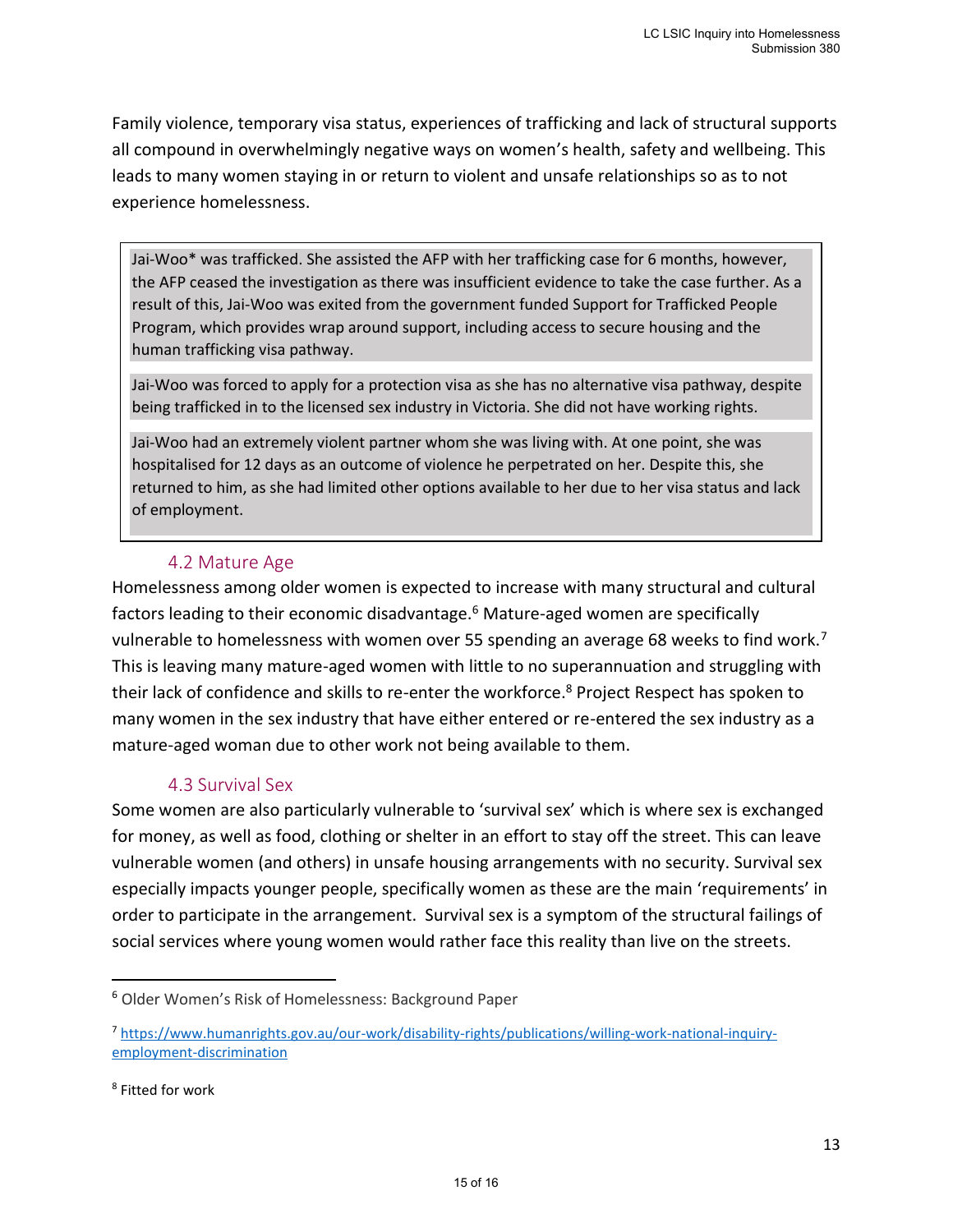Family violence, temporary visa status, experiences of trafficking and lack of structural supports all compound in overwhelmingly negative ways on women's health, safety and wellbeing. This leads to many women staying in or return to violent and unsafe relationships so as to not experience homelessness.

Jai-Woo\* was trafficked. She assisted the AFP with her trafficking case for 6 months, however, the AFP ceased the investigation as there was insufficient evidence to take the case further. As a result of this, Jai-Woo was exited from the government funded Support for Trafficked People Program, which provides wrap around support, including access to secure housing and the human trafficking visa pathway.

Jai-Woo was forced to apply for a protection visa as she has no alternative visa pathway, despite being trafficked in to the licensed sex industry in Victoria. She did not have working rights.

Jai-Woo had an extremely violent partner whom she was living with. At one point, she was hospitalised for 12 days as an outcome of violence he perpetrated on her. Despite this, she returned to him, as she had limited other options available to her due to her visa status and lack of employment.

### <span id="page-14-0"></span>4.2 Mature Age

Homelessness among older women is expected to increase with many structural and cultural factors leading to their economic disadvantage.<sup>6</sup> Mature-aged women are specifically vulnerable to homelessness with women over 55 spending an average 68 weeks to find work.<sup>7</sup> This is leaving many mature-aged women with little to no superannuation and struggling with their lack of confidence and skills to re-enter the workforce.<sup>8</sup> Project Respect has spoken to many women in the sex industry that have either entered or re-entered the sex industry as a mature-aged woman due to other work not being available to them.

### <span id="page-14-1"></span>4.3 Survival Sex

Some women are also particularly vulnerable to 'survival sex' which is where sex is exchanged for money, as well as food, clothing or shelter in an effort to stay off the street. This can leave vulnerable women (and others) in unsafe housing arrangements with no security. Survival sex especially impacts younger people, specifically women as these are the main 'requirements' in order to participate in the arrangement. Survival sex is a symptom of the structural failings of social services where young women would rather face this reality than live on the streets.

<sup>6</sup> Older Women's Risk of Homelessness: Background Paper

<sup>7</sup> [https://www.humanrights.gov.au/our-work/disability-rights/publications/willing-work-national-inquiry](https://www.humanrights.gov.au/our-work/disability-rights/publications/willing-work-national-inquiry-employment-discrimination)[employment-discrimination](https://www.humanrights.gov.au/our-work/disability-rights/publications/willing-work-national-inquiry-employment-discrimination)

<sup>8</sup> Fitted for work